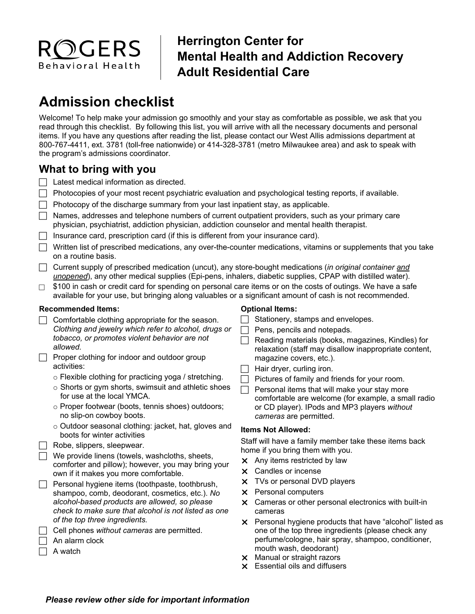

## **Herrington Center for Mental Health and Addiction Recovery Adult Residential Care**

# **Admission checklist**

Welcome! To help make your admission go smoothly and your stay as comfortable as possible, we ask that you read through this checklist. By following this list, you will arrive with all the necessary documents and personal items. If you have any questions after reading the list, please contact our West Allis admissions department at 800-767-4411, ext. 3781 (toll-free nationwide) or 414-328-3781 (metro Milwaukee area) and ask to speak with the program's admissions coordinator.

### **What to bring with you**

- $\Box$  Latest medical information as directed.
- $\Box$  Photocopies of your most recent psychiatric evaluation and psychological testing reports, if available.
- $\Box$  Photocopy of the discharge summary from your last inpatient stay, as applicable.
- $\Box$  Names, addresses and telephone numbers of current outpatient providers, such as your primary care physician, psychiatrist, addiction physician, addiction counselor and mental health therapist.
- $\Box$  Insurance card, prescription card (if this is different from your insurance card).
- Written list of prescribed medications, any over-the-counter medications, vitamins or supplements that you take on a routine basis.
- Current supply of prescribed medication (uncut), any store-bought medications (*in original container and unopened*), any other medical supplies (Epi-pens, inhalers, diabetic supplies, CPAP with distilled water).
- $\Box$  \$100 in cash or credit card for spending on personal care items or on the costs of outings. We have a safe available for your use, but bringing along valuables or a significant amount of cash is not recommended.

#### **Recommended Items:**

- $\Box$  Comfortable clothing appropriate for the season. *Clothing and jewelry which refer to alcohol, drugs or tobacco, or promotes violent behavior are not allowed.*
- $\Box$  Proper clothing for indoor and outdoor group activities:
	- o Flexible clothing for practicing yoga / stretching.
	- o Shorts or gym shorts, swimsuit and athletic shoes for use at the local YMCA.
	- o Proper footwear (boots, tennis shoes) outdoors; no slip-on cowboy boots.
	- o Outdoor seasonal clothing: jacket, hat, gloves and boots for winter activities
- $\Box$  Robe, slippers, sleepwear.

 $\Box$  We provide linens (towels, washcloths, sheets, comforter and pillow); however, you may bring your own if it makes you more comfortable.

- $\Box$  Personal hygiene items (toothpaste, toothbrush, shampoo, comb, deodorant, cosmetics, etc.). *No alcohol-based products are allowed, so please check to make sure that alcohol is not listed as one of the top three ingredients.* 
	- Cell phones *without cameras* are permitted.
	- An alarm clock
- $\Box$  A watch

#### **Optional Items:**

- $\Box$  Stationery, stamps and envelopes.
- Pens, pencils and notepads.
- Reading materials (books, magazines, Kindles) for relaxation (staff may disallow inappropriate content, magazine covers, etc.).
- $\Box$  Hair dryer, curling iron.
- $\Box$  Pictures of family and friends for your room.
- $\Box$  Personal items that will make your stay more comfortable are welcome (for example, a small radio or CD player). IPods and MP3 players *without cameras* are permitted.

#### **Items Not Allowed:**

Staff will have a family member take these items back home if you bring them with you.

- $\times$  Any items restricted by law
- **X** Candles or incense
- **x** TVs or personal DVD players
- $\times$  Personal computers
- Cameras or other personal electronics with built-in cameras
- $\times$  Personal hygiene products that have "alcohol" listed as one of the top three ingredients (please check any perfume/cologne, hair spray, shampoo, conditioner, mouth wash, deodorant)
- $\times$  Manual or straight razors
- Essential oils and diffusers